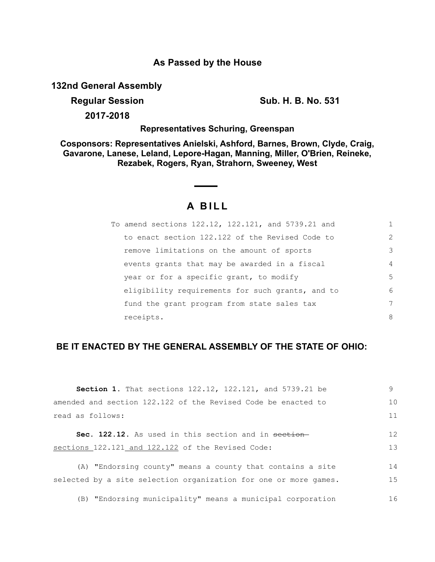## **As Passed by the House**

**132nd General Assembly**

**Regular Session Sub. H. B. No. 531**

**2017-2018**

**Representatives Schuring, Greenspan**

**Cosponsors: Representatives Anielski, Ashford, Barnes, Brown, Clyde, Craig, Gavarone, Lanese, Leland, Lepore-Hagan, Manning, Miller, O'Brien, Reineke, Rezabek, Rogers, Ryan, Strahorn, Sweeney, West**

# **A B I L L**

| To amend sections 122.12, 122.121, and 5739.21 and |               |
|----------------------------------------------------|---------------|
| to enact section 122.122 of the Revised Code to    | $\mathcal{L}$ |
| remove limitations on the amount of sports         | 3             |
| events grants that may be awarded in a fiscal      | 4             |
| year or for a specific grant, to modify            | 5             |
| eligibility requirements for such grants, and to   | 6             |
| fund the grant program from state sales tax        | 7             |
| receipts.                                          | 8             |

## **BE IT ENACTED BY THE GENERAL ASSEMBLY OF THE STATE OF OHIO:**

| <b>Section 1.</b> That sections $122.12$ , $122.121$ , and $5739.21$ be | 9              |
|-------------------------------------------------------------------------|----------------|
| amended and section 122.122 of the Revised Code be enacted to           | 1 <sub>0</sub> |
| read as follows:                                                        | 11             |
| Sec. 122.12. As used in this section and in section-                    | 12             |
| sections 122.121 and 122.122 of the Revised Code:                       | 13             |
| (A) "Endorsing county" means a county that contains a site              | 14             |
| selected by a site selection organization for one or more games.        | 15             |

(B) "Endorsing municipality" means a municipal corporation 16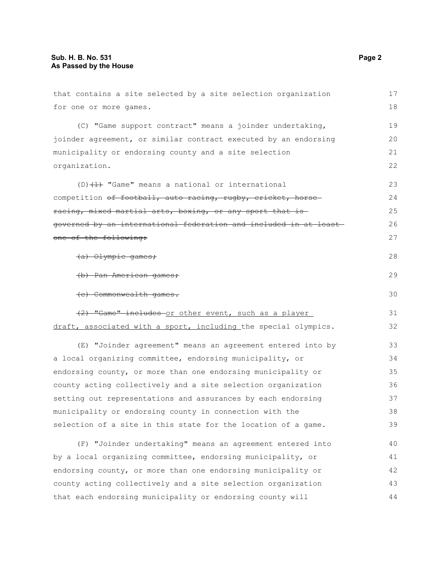| that contains a site selected by a site selection organization   | 17 |
|------------------------------------------------------------------|----|
| for one or more games.                                           | 18 |
| (C) "Game support contract" means a joinder undertaking,         | 19 |
| joinder agreement, or similar contract executed by an endorsing  | 20 |
| municipality or endorsing county and a site selection            | 21 |
| organization.                                                    | 22 |
| $(D)$ $(1)$ "Game" means a national or international             | 23 |
| competition of football, auto racing, rugby, cricket, horse      | 24 |
| racing, mixed martial arts, boxing, or any sport that is         | 25 |
| governed by an international federation and included in at least | 26 |
| one of the following:                                            | 27 |
| (a) Olympic games;                                               | 28 |
| (b) Pan American games;                                          | 29 |
| (e) Commonwealth games.                                          | 30 |
| (2) "Game" includes or other event, such as a player             | 31 |
| draft, associated with a sport, including the special olympics.  | 32 |
| (E) "Joinder agreement" means an agreement entered into by       | 33 |
| a local organizing committee, endorsing municipality, or         | 34 |
| endorsing county, or more than one endorsing municipality or     | 35 |
| county acting collectively and a site selection organization     | 36 |
| setting out representations and assurances by each endorsing     | 37 |
| municipality or endorsing county in connection with the          | 38 |
| selection of a site in this state for the location of a game.    | 39 |
| (F) "Joinder undertaking" means an agreement entered into        | 40 |
| by a local organizing committee, endorsing municipality, or      | 41 |
| endorsing county, or more than one endorsing municipality or     | 42 |
| county acting collectively and a site selection organization     | 43 |
| that each endorsing municipality or endorsing county will        | 44 |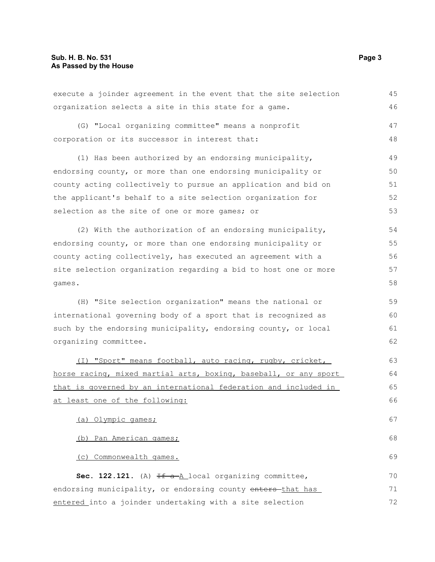| execute a joinder agreement in the event that the site selection | 45 |
|------------------------------------------------------------------|----|
| organization selects a site in this state for a game.            | 46 |
| (G) "Local organizing committee" means a nonprofit               | 47 |
| corporation or its successor in interest that:                   | 48 |
| (1) Has been authorized by an endorsing municipality,            | 49 |
| endorsing county, or more than one endorsing municipality or     | 50 |
| county acting collectively to pursue an application and bid on   | 51 |
| the applicant's behalf to a site selection organization for      | 52 |
| selection as the site of one or more games; or                   | 53 |
| (2) With the authorization of an endorsing municipality,         | 54 |
| endorsing county, or more than one endorsing municipality or     | 55 |
| county acting collectively, has executed an agreement with a     | 56 |
| site selection organization regarding a bid to host one or more  | 57 |
| games.                                                           | 58 |
| (H) "Site selection organization" means the national or          | 59 |
| international governing body of a sport that is recognized as    | 60 |
| such by the endorsing municipality, endorsing county, or local   | 61 |
| organizing committee.                                            | 62 |
| (I) "Sport" means football, auto racing, rugby, cricket,         | 63 |
| horse racing, mixed martial arts, boxing, baseball, or any sport | 64 |
| that is governed by an international federation and included in  | 65 |
| at least one of the following:                                   | 66 |
| (a) Olympic games;                                               | 67 |
| (b) Pan American games;                                          | 68 |
| (c) Commonwealth games.                                          | 69 |
| Sec. 122.121. $(A)$ $H = A \log n$ organizing committee,         | 70 |
| endorsing municipality, or endorsing county enters-that has      | 71 |
| entered into a joinder undertaking with a site selection         | 72 |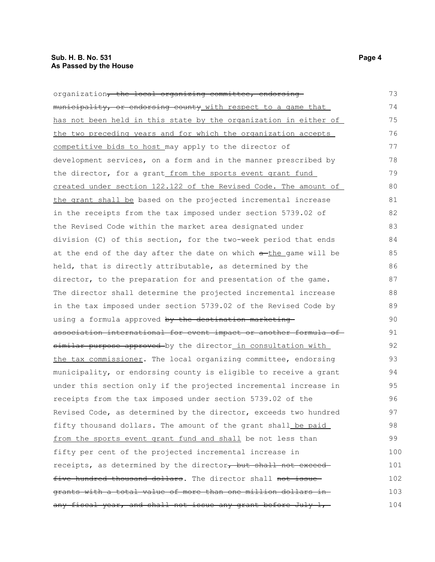### **Sub. H. B. No. 531 Page 4 As Passed by the House**

| organization <del>, the local organizing committee, endorsing</del> | 73  |
|---------------------------------------------------------------------|-----|
| municipality, or endorsing county with respect to a game that       | 74  |
| has not been held in this state by the organization in either of    | 75  |
| the two preceding years and for which the organization accepts      | 76  |
| competitive bids to host may apply to the director of               | 77  |
| development services, on a form and in the manner prescribed by     | 78  |
| the director, for a grant_from the sports event grant fund_         | 79  |
| created under section 122.122 of the Revised Code. The amount of    | 80  |
| the grant shall be based on the projected incremental increase      | 81  |
| in the receipts from the tax imposed under section 5739.02 of       | 82  |
| the Revised Code within the market area designated under            | 83  |
| division (C) of this section, for the two-week period that ends     | 84  |
| at the end of the day after the date on which a-the game will be    | 85  |
| held, that is directly attributable, as determined by the           | 86  |
| director, to the preparation for and presentation of the game.      | 87  |
| The director shall determine the projected incremental increase     | 88  |
| in the tax imposed under section 5739.02 of the Revised Code by     | 89  |
| using a formula approved by the destination marketing               | 90  |
| association international for event impact or another formula of    | 91  |
| similar purpose approved by the director in consultation with       | 92  |
| the tax commissioner. The local organizing committee, endorsing     | 93  |
| municipality, or endorsing county is eligible to receive a grant    | 94  |
| under this section only if the projected incremental increase in    | 95  |
| receipts from the tax imposed under section 5739.02 of the          | 96  |
| Revised Code, as determined by the director, exceeds two hundred    | 97  |
| fifty thousand dollars. The amount of the grant shall be paid       | 98  |
| from the sports event grant fund and shall be not less than         | 99  |
| fifty per cent of the projected incremental increase in             | 100 |
| receipts, as determined by the director, but shall not exceed       | 101 |
| five hundred thousand dollars. The director shall not issue-        | 102 |
| grants with a total value of more than one million dollars in-      | 103 |
| any fiscal year, and shall not issue any grant before July 1,       | 104 |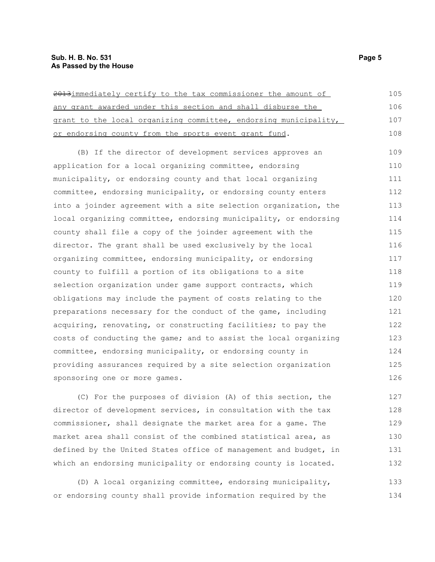#### **Sub. H. B. No. 531 Page 5 As Passed by the House**

| 2013immediately certify to the tax commissioner the amount of    | 105 |
|------------------------------------------------------------------|-----|
| any grant awarded under this section and shall disburse the      | 106 |
| grant to the local organizing committee, endorsing municipality, | 107 |
| or endorsing county from the sports event grant fund.            | 108 |
| (B) If the director of development services approves an          | 109 |
| application for a local organizing committee, endorsing          | 110 |
| municipality, or endorsing county and that local organizing      | 111 |
| committee, endorsing municipality, or endorsing county enters    | 112 |
| into a joinder agreement with a site selection organization, the | 113 |
| local organizing committee, endorsing municipality, or endorsing | 114 |
| county shall file a copy of the joinder agreement with the       | 115 |
| director. The grant shall be used exclusively by the local       | 116 |
| organizing committee, endorsing municipality, or endorsing       | 117 |
| county to fulfill a portion of its obligations to a site         | 118 |
| selection organization under game support contracts, which       | 119 |
| obligations may include the payment of costs relating to the     | 120 |
| preparations necessary for the conduct of the game, including    | 121 |
| acquiring, renovating, or constructing facilities; to pay the    | 122 |
| costs of conducting the game; and to assist the local organizing | 123 |
| committee, endorsing municipality, or endorsing county in        | 124 |
| providing assurances required by a site selection organization   | 125 |
| sponsoring one or more games.                                    | 126 |
|                                                                  |     |

(C) For the purposes of division (A) of this section, the director of development services, in consultation with the tax commissioner, shall designate the market area for a game. The market area shall consist of the combined statistical area, as defined by the United States office of management and budget, in which an endorsing municipality or endorsing county is located. 127 128 129 130 131 132

(D) A local organizing committee, endorsing municipality, or endorsing county shall provide information required by the 133 134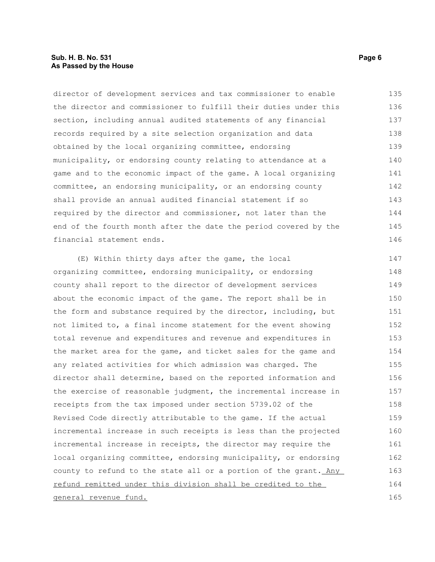#### **Sub. H. B. No. 531 Page 6 As Passed by the House**

director of development services and tax commissioner to enable the director and commissioner to fulfill their duties under this section, including annual audited statements of any financial records required by a site selection organization and data obtained by the local organizing committee, endorsing municipality, or endorsing county relating to attendance at a game and to the economic impact of the game. A local organizing committee, an endorsing municipality, or an endorsing county shall provide an annual audited financial statement if so required by the director and commissioner, not later than the end of the fourth month after the date the period covered by the financial statement ends. 135 136 137 138 139 140 141 142 143 144 145 146

(E) Within thirty days after the game, the local organizing committee, endorsing municipality, or endorsing county shall report to the director of development services about the economic impact of the game. The report shall be in the form and substance required by the director, including, but not limited to, a final income statement for the event showing total revenue and expenditures and revenue and expenditures in the market area for the game, and ticket sales for the game and any related activities for which admission was charged. The director shall determine, based on the reported information and the exercise of reasonable judgment, the incremental increase in receipts from the tax imposed under section 5739.02 of the Revised Code directly attributable to the game. If the actual incremental increase in such receipts is less than the projected incremental increase in receipts, the director may require the local organizing committee, endorsing municipality, or endorsing county to refund to the state all or a portion of the grant. Any refund remitted under this division shall be credited to the general revenue fund. 147 148 149 150 151 152 153 154 155 156 157 158 159 160 161 162 163 164 165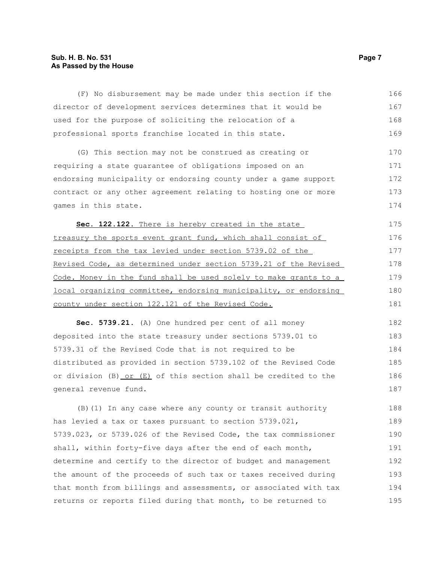### **Sub. H. B. No. 531 Page 7 As Passed by the House**

| (F) No disbursement may be made under this section if the        | 166 |
|------------------------------------------------------------------|-----|
| director of development services determines that it would be     | 167 |
| used for the purpose of soliciting the relocation of a           | 168 |
| professional sports franchise located in this state.             | 169 |
| (G) This section may not be construed as creating or             | 170 |
| requiring a state guarantee of obligations imposed on an         | 171 |
| endorsing municipality or endorsing county under a game support  | 172 |
| contract or any other agreement relating to hosting one or more  | 173 |
| games in this state.                                             | 174 |
| Sec. 122.122. There is hereby created in the state               | 175 |
| treasury the sports event grant fund, which shall consist of     | 176 |
| receipts from the tax levied under section 5739.02 of the        | 177 |
| Revised Code, as determined under section 5739.21 of the Revised | 178 |
| Code. Money in the fund shall be used solely to make grants to a | 179 |
| local organizing committee, endorsing municipality, or endorsing | 180 |
| county under section 122.121 of the Revised Code.                | 181 |
| Sec. 5739.21. (A) One hundred per cent of all money              | 182 |
| deposited into the state treasury under sections 5739.01 to      | 183 |
| 5739.31 of the Revised Code that is not required to be           | 184 |
| distributed as provided in section 5739.102 of the Revised Code  | 185 |
| or division (B) or (E) of this section shall be credited to the  | 186 |
| general revenue fund.                                            | 187 |
| (B) (1) In any case where any county or transit authority        | 188 |
| has levied a tax or taxes pursuant to section 5739.021,          | 189 |
| 5739.023, or 5739.026 of the Revised Code, the tax commissioner  | 190 |
| shall, within forty-five days after the end of each month,       | 191 |
| determine and certify to the director of budget and management   | 192 |
| the amount of the proceeds of such tax or taxes received during  | 193 |
| that month from billings and assessments, or associated with tax | 194 |
| returns or reports filed during that month, to be returned to    | 195 |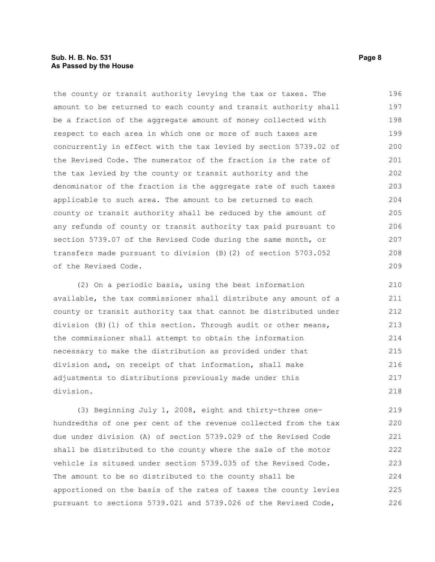#### **Sub. H. B. No. 531 Page 8 As Passed by the House**

the county or transit authority levying the tax or taxes. The amount to be returned to each county and transit authority shall be a fraction of the aggregate amount of money collected with respect to each area in which one or more of such taxes are concurrently in effect with the tax levied by section 5739.02 of the Revised Code. The numerator of the fraction is the rate of the tax levied by the county or transit authority and the denominator of the fraction is the aggregate rate of such taxes applicable to such area. The amount to be returned to each county or transit authority shall be reduced by the amount of any refunds of county or transit authority tax paid pursuant to section 5739.07 of the Revised Code during the same month, or transfers made pursuant to division (B)(2) of section 5703.052 of the Revised Code. 196 197 198 199 200 201 202 203 204 205 206 207 208 209

(2) On a periodic basis, using the best information available, the tax commissioner shall distribute any amount of a county or transit authority tax that cannot be distributed under division (B)(1) of this section. Through audit or other means, the commissioner shall attempt to obtain the information necessary to make the distribution as provided under that division and, on receipt of that information, shall make adjustments to distributions previously made under this division. 210 211 212 213 214 215 216 217 218

(3) Beginning July 1, 2008, eight and thirty-three onehundredths of one per cent of the revenue collected from the tax due under division (A) of section 5739.029 of the Revised Code shall be distributed to the county where the sale of the motor vehicle is sitused under section 5739.035 of the Revised Code. The amount to be so distributed to the county shall be apportioned on the basis of the rates of taxes the county levies pursuant to sections 5739.021 and 5739.026 of the Revised Code, 219 220 221 222 223 224 225 226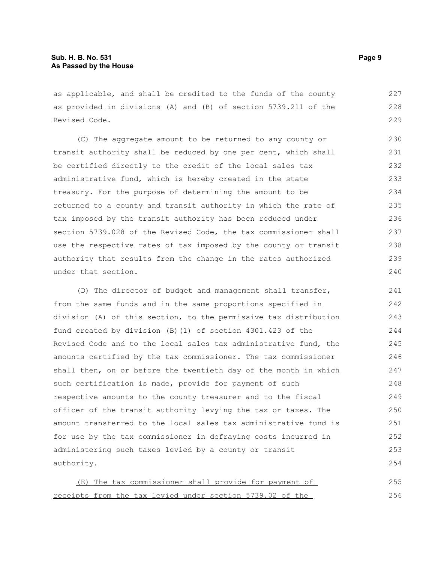as applicable, and shall be credited to the funds of the county as provided in divisions (A) and (B) of section 5739.211 of the Revised Code. 227 228 229

(C) The aggregate amount to be returned to any county or transit authority shall be reduced by one per cent, which shall be certified directly to the credit of the local sales tax administrative fund, which is hereby created in the state treasury. For the purpose of determining the amount to be returned to a county and transit authority in which the rate of tax imposed by the transit authority has been reduced under section 5739.028 of the Revised Code, the tax commissioner shall use the respective rates of tax imposed by the county or transit authority that results from the change in the rates authorized under that section. 230 231 232 233 234 235 236 237 238 239 240

(D) The director of budget and management shall transfer, from the same funds and in the same proportions specified in division (A) of this section, to the permissive tax distribution fund created by division (B)(1) of section 4301.423 of the Revised Code and to the local sales tax administrative fund, the amounts certified by the tax commissioner. The tax commissioner shall then, on or before the twentieth day of the month in which such certification is made, provide for payment of such respective amounts to the county treasurer and to the fiscal officer of the transit authority levying the tax or taxes. The amount transferred to the local sales tax administrative fund is for use by the tax commissioner in defraying costs incurred in administering such taxes levied by a county or transit authority. 241 242 243 244 245 246 247 248 249 250 251 252 253 254

 (E) The tax commissioner shall provide for payment of receipts from the tax levied under section 5739.02 of the 255 256